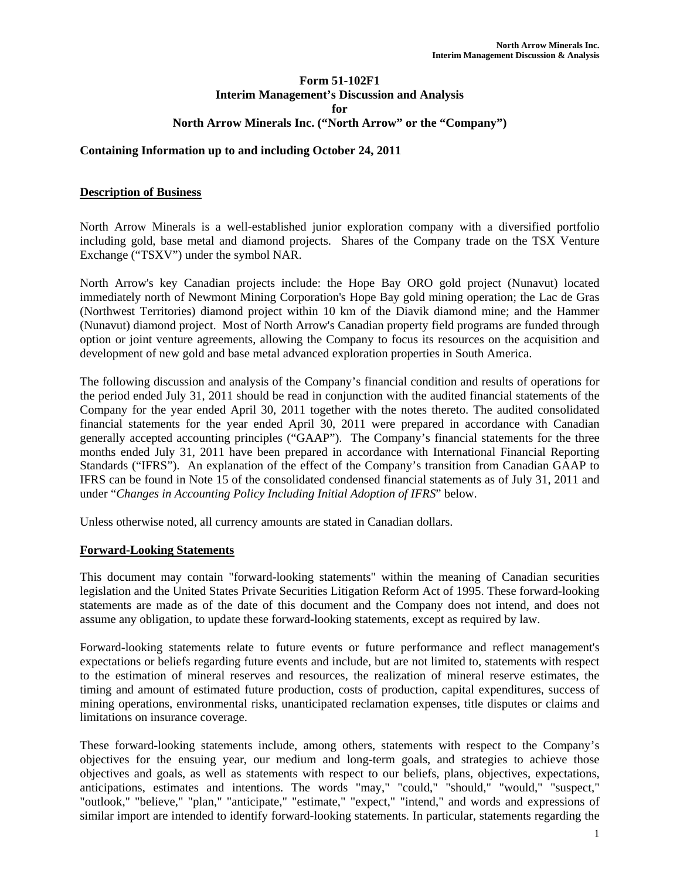### **Form 51-102F1 Interim Management's Discussion and Analysis for North Arrow Minerals Inc. ("North Arrow" or the "Company")**

### **Containing Information up to and including October 24, 2011**

### **Description of Business**

North Arrow Minerals is a well-established junior exploration company with a diversified portfolio including gold, base metal and diamond projects. Shares of the Company trade on the TSX Venture Exchange ("TSXV") under the symbol NAR.

North Arrow's key Canadian projects include: the Hope Bay ORO gold project (Nunavut) located immediately north of Newmont Mining Corporation's Hope Bay gold mining operation; the Lac de Gras (Northwest Territories) diamond project within 10 km of the Diavik diamond mine; and the Hammer (Nunavut) diamond project. Most of North Arrow's Canadian property field programs are funded through option or joint venture agreements, allowing the Company to focus its resources on the acquisition and development of new gold and base metal advanced exploration properties in South America.

The following discussion and analysis of the Company's financial condition and results of operations for the period ended July 31, 2011 should be read in conjunction with the audited financial statements of the Company for the year ended April 30, 2011 together with the notes thereto. The audited consolidated financial statements for the year ended April 30, 2011 were prepared in accordance with Canadian generally accepted accounting principles ("GAAP"). The Company's financial statements for the three months ended July 31, 2011 have been prepared in accordance with International Financial Reporting Standards ("IFRS"). An explanation of the effect of the Company's transition from Canadian GAAP to IFRS can be found in Note 15 of the consolidated condensed financial statements as of July 31, 2011 and under "*Changes in Accounting Policy Including Initial Adoption of IFRS*" below.

Unless otherwise noted, all currency amounts are stated in Canadian dollars.

### **Forward-Looking Statements**

This document may contain "forward-looking statements" within the meaning of Canadian securities legislation and the United States Private Securities Litigation Reform Act of 1995. These forward-looking statements are made as of the date of this document and the Company does not intend, and does not assume any obligation, to update these forward-looking statements, except as required by law.

Forward-looking statements relate to future events or future performance and reflect management's expectations or beliefs regarding future events and include, but are not limited to, statements with respect to the estimation of mineral reserves and resources, the realization of mineral reserve estimates, the timing and amount of estimated future production, costs of production, capital expenditures, success of mining operations, environmental risks, unanticipated reclamation expenses, title disputes or claims and limitations on insurance coverage.

These forward-looking statements include, among others, statements with respect to the Company's objectives for the ensuing year, our medium and long-term goals, and strategies to achieve those objectives and goals, as well as statements with respect to our beliefs, plans, objectives, expectations, anticipations, estimates and intentions. The words "may," "could," "should," "would," "suspect," "outlook," "believe," "plan," "anticipate," "estimate," "expect," "intend," and words and expressions of similar import are intended to identify forward-looking statements. In particular, statements regarding the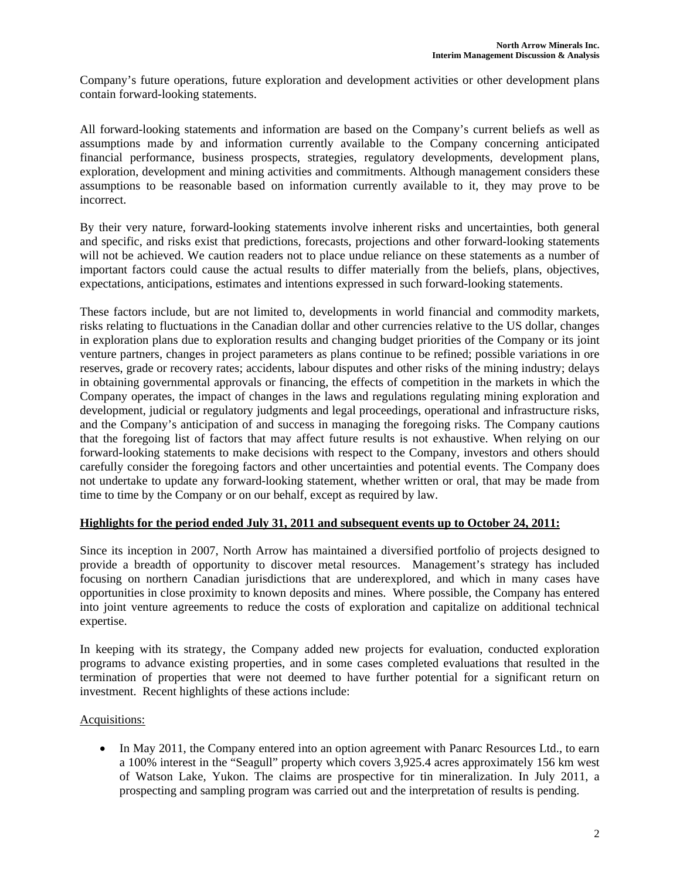Company's future operations, future exploration and development activities or other development plans contain forward-looking statements.

All forward-looking statements and information are based on the Company's current beliefs as well as assumptions made by and information currently available to the Company concerning anticipated financial performance, business prospects, strategies, regulatory developments, development plans, exploration, development and mining activities and commitments. Although management considers these assumptions to be reasonable based on information currently available to it, they may prove to be incorrect.

By their very nature, forward-looking statements involve inherent risks and uncertainties, both general and specific, and risks exist that predictions, forecasts, projections and other forward-looking statements will not be achieved. We caution readers not to place undue reliance on these statements as a number of important factors could cause the actual results to differ materially from the beliefs, plans, objectives, expectations, anticipations, estimates and intentions expressed in such forward-looking statements.

These factors include, but are not limited to, developments in world financial and commodity markets, risks relating to fluctuations in the Canadian dollar and other currencies relative to the US dollar, changes in exploration plans due to exploration results and changing budget priorities of the Company or its joint venture partners, changes in project parameters as plans continue to be refined; possible variations in ore reserves, grade or recovery rates; accidents, labour disputes and other risks of the mining industry; delays in obtaining governmental approvals or financing, the effects of competition in the markets in which the Company operates, the impact of changes in the laws and regulations regulating mining exploration and development, judicial or regulatory judgments and legal proceedings, operational and infrastructure risks, and the Company's anticipation of and success in managing the foregoing risks. The Company cautions that the foregoing list of factors that may affect future results is not exhaustive. When relying on our forward-looking statements to make decisions with respect to the Company, investors and others should carefully consider the foregoing factors and other uncertainties and potential events. The Company does not undertake to update any forward-looking statement, whether written or oral, that may be made from time to time by the Company or on our behalf, except as required by law.

### **Highlights for the period ended July 31, 2011 and subsequent events up to October 24, 2011:**

Since its inception in 2007, North Arrow has maintained a diversified portfolio of projects designed to provide a breadth of opportunity to discover metal resources. Management's strategy has included focusing on northern Canadian jurisdictions that are underexplored, and which in many cases have opportunities in close proximity to known deposits and mines. Where possible, the Company has entered into joint venture agreements to reduce the costs of exploration and capitalize on additional technical expertise.

In keeping with its strategy, the Company added new projects for evaluation, conducted exploration programs to advance existing properties, and in some cases completed evaluations that resulted in the termination of properties that were not deemed to have further potential for a significant return on investment. Recent highlights of these actions include:

## Acquisitions:

• In May 2011, the Company entered into an option agreement with Panarc Resources Ltd., to earn a 100% interest in the "Seagull" property which covers 3,925.4 acres approximately 156 km west of Watson Lake, Yukon. The claims are prospective for tin mineralization. In July 2011, a prospecting and sampling program was carried out and the interpretation of results is pending.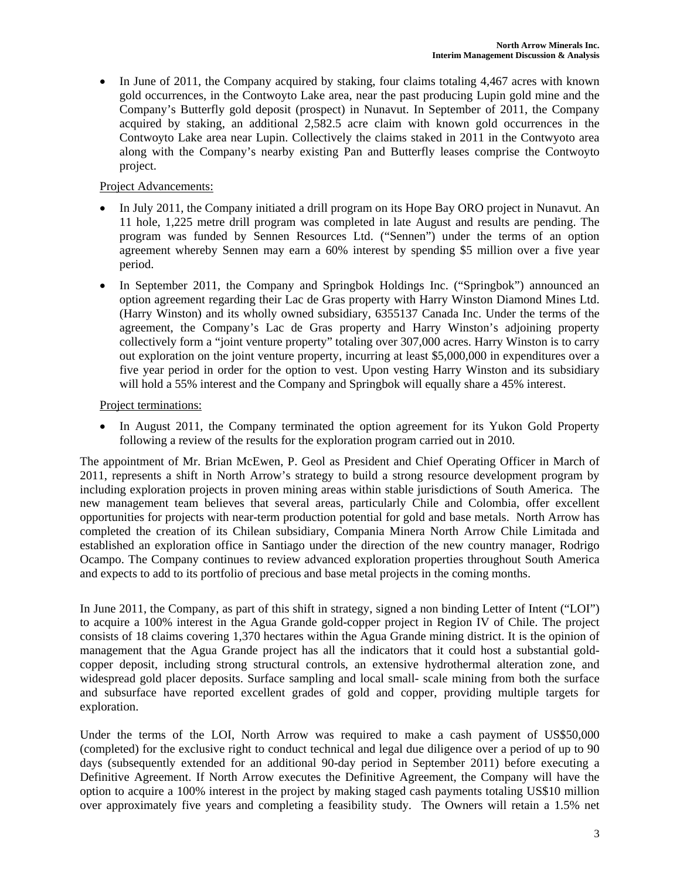• In June of 2011, the Company acquired by staking, four claims totaling 4,467 acres with known gold occurrences, in the Contwoyto Lake area, near the past producing Lupin gold mine and the Company's Butterfly gold deposit (prospect) in Nunavut. In September of 2011, the Company acquired by staking, an additional 2,582.5 acre claim with known gold occurrences in the Contwoyto Lake area near Lupin. Collectively the claims staked in 2011 in the Contwyoto area along with the Company's nearby existing Pan and Butterfly leases comprise the Contwoyto project.

# Project Advancements:

- In July 2011, the Company initiated a drill program on its Hope Bay ORO project in Nunavut. An 11 hole, 1,225 metre drill program was completed in late August and results are pending. The program was funded by Sennen Resources Ltd. ("Sennen") under the terms of an option agreement whereby Sennen may earn a 60% interest by spending \$5 million over a five year period.
- In September 2011, the Company and Springbok Holdings Inc. ("Springbok") announced an option agreement regarding their Lac de Gras property with Harry Winston Diamond Mines Ltd. (Harry Winston) and its wholly owned subsidiary, 6355137 Canada Inc. Under the terms of the agreement, the Company's Lac de Gras property and Harry Winston's adjoining property collectively form a "joint venture property" totaling over 307,000 acres. Harry Winston is to carry out exploration on the joint venture property, incurring at least \$5,000,000 in expenditures over a five year period in order for the option to vest. Upon vesting Harry Winston and its subsidiary will hold a 55% interest and the Company and Springbok will equally share a 45% interest.

## Project terminations:

• In August 2011, the Company terminated the option agreement for its Yukon Gold Property following a review of the results for the exploration program carried out in 2010.

The appointment of Mr. Brian McEwen, P. Geol as President and Chief Operating Officer in March of 2011, represents a shift in North Arrow's strategy to build a strong resource development program by including exploration projects in proven mining areas within stable jurisdictions of South America. The new management team believes that several areas, particularly Chile and Colombia, offer excellent opportunities for projects with near-term production potential for gold and base metals. North Arrow has completed the creation of its Chilean subsidiary, Compania Minera North Arrow Chile Limitada and established an exploration office in Santiago under the direction of the new country manager, Rodrigo Ocampo. The Company continues to review advanced exploration properties throughout South America and expects to add to its portfolio of precious and base metal projects in the coming months.

In June 2011, the Company, as part of this shift in strategy, signed a non binding Letter of Intent ("LOI") to acquire a 100% interest in the Agua Grande gold-copper project in Region IV of Chile. The project consists of 18 claims covering 1,370 hectares within the Agua Grande mining district. It is the opinion of management that the Agua Grande project has all the indicators that it could host a substantial goldcopper deposit, including strong structural controls, an extensive hydrothermal alteration zone, and widespread gold placer deposits. Surface sampling and local small- scale mining from both the surface and subsurface have reported excellent grades of gold and copper, providing multiple targets for exploration.

Under the terms of the LOI, North Arrow was required to make a cash payment of US\$50,000 (completed) for the exclusive right to conduct technical and legal due diligence over a period of up to 90 days (subsequently extended for an additional 90-day period in September 2011) before executing a Definitive Agreement. If North Arrow executes the Definitive Agreement, the Company will have the option to acquire a 100% interest in the project by making staged cash payments totaling US\$10 million over approximately five years and completing a feasibility study. The Owners will retain a 1.5% net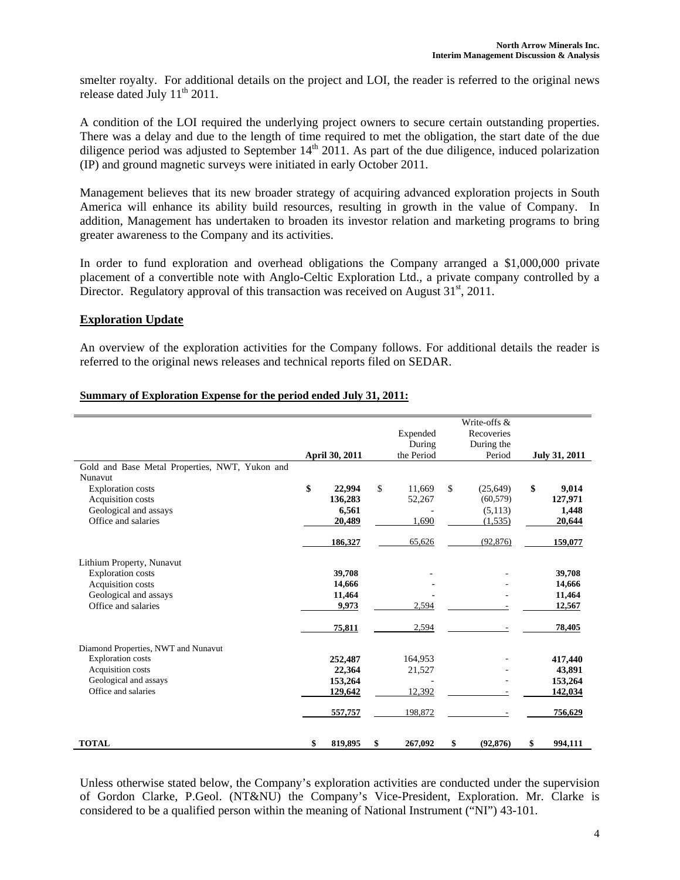smelter royalty. For additional details on the project and LOI, the reader is referred to the original news release dated July  $11<sup>th</sup> 2011$ .

A condition of the LOI required the underlying project owners to secure certain outstanding properties. There was a delay and due to the length of time required to met the obligation, the start date of the due diligence period was adjusted to September  $14<sup>th</sup> 2011$ . As part of the due diligence, induced polarization (IP) and ground magnetic surveys were initiated in early October 2011.

Management believes that its new broader strategy of acquiring advanced exploration projects in South America will enhance its ability build resources, resulting in growth in the value of Company. In addition, Management has undertaken to broaden its investor relation and marketing programs to bring greater awareness to the Company and its activities.

In order to fund exploration and overhead obligations the Company arranged a \$1,000,000 private placement of a convertible note with Anglo-Celtic Exploration Ltd., a private company controlled by a Director. Regulatory approval of this transaction was received on August  $31<sup>st</sup>$ , 2011.

### **Exploration Update**

An overview of the exploration activities for the Company follows. For additional details the reader is referred to the original news releases and technical reports filed on SEDAR.

| Summary of Exploration Expense for the period ended July 31, 2011: |  |  |
|--------------------------------------------------------------------|--|--|
|                                                                    |  |  |

|                                                |                       |               |              | Write-offs & |               |
|------------------------------------------------|-----------------------|---------------|--------------|--------------|---------------|
|                                                |                       | Expended      |              | Recoveries   |               |
|                                                |                       | During        |              | During the   |               |
|                                                | <b>April 30, 2011</b> | the Period    |              | Period       | July 31, 2011 |
| Gold and Base Metal Properties, NWT, Yukon and |                       |               |              |              |               |
| Nunavut                                        |                       |               |              |              |               |
| <b>Exploration</b> costs                       | \$<br>22,994          | \$<br>11,669  | $\mathbb{S}$ | (25, 649)    | \$<br>9,014   |
| Acquisition costs                              | 136,283               | 52,267        |              | (60, 579)    | 127,971       |
| Geological and assays                          | 6.561                 |               |              | (5,113)      | 1,448         |
| Office and salaries                            | 20,489                | 1,690         |              | (1,535)      | 20,644        |
|                                                | 186,327               | 65,626        |              | (92, 876)    | 159,077       |
| Lithium Property, Nunavut                      |                       |               |              |              |               |
| <b>Exploration</b> costs                       | 39,708                |               |              |              | 39,708        |
| Acquisition costs                              | 14,666                |               |              |              | 14,666        |
| Geological and assays                          | 11,464                |               |              |              | 11,464        |
| Office and salaries                            | 9,973                 | 2,594         |              |              | 12,567        |
|                                                |                       |               |              |              |               |
|                                                | 75,811                | 2,594         |              |              | 78,405        |
| Diamond Properties, NWT and Nunavut            |                       |               |              |              |               |
| <b>Exploration</b> costs                       | 252,487               | 164,953       |              |              | 417,440       |
| Acquisition costs                              | 22,364                | 21,527        |              |              | 43,891        |
| Geological and assays                          | 153,264               |               |              |              | 153,264       |
| Office and salaries                            | 129,642               | 12,392        |              |              | 142,034       |
|                                                | 557,757               | 198,872       |              |              | 756,629       |
|                                                |                       |               |              |              |               |
| <b>TOTAL</b>                                   | \$<br>819,895         | \$<br>267,092 | \$           | (92, 876)    | \$<br>994,111 |
|                                                |                       |               |              |              |               |

Unless otherwise stated below, the Company's exploration activities are conducted under the supervision of Gordon Clarke, P.Geol. (NT&NU) the Company's Vice-President, Exploration. Mr. Clarke is considered to be a qualified person within the meaning of National Instrument ("NI") 43-101.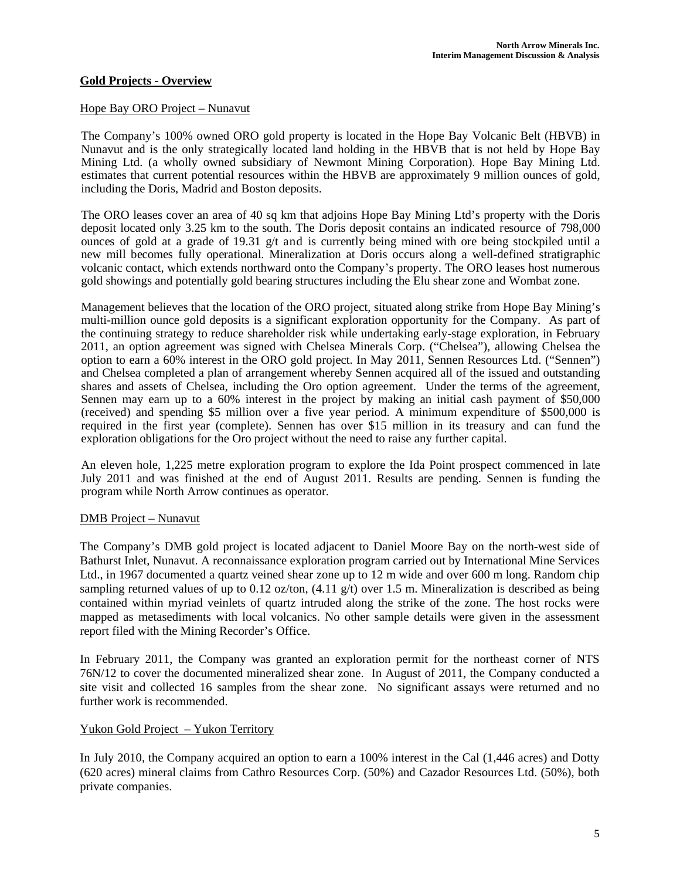## **Gold Projects - Overview**

#### Hope Bay ORO Project – Nunavut

The Company's 100% owned ORO gold property is located in the Hope Bay Volcanic Belt (HBVB) in Nunavut and is the only strategically located land holding in the HBVB that is not held by Hope Bay Mining Ltd. (a wholly owned subsidiary of Newmont Mining Corporation). Hope Bay Mining Ltd. estimates that current potential resources within the HBVB are approximately 9 million ounces of gold, including the Doris, Madrid and Boston deposits.

The ORO leases cover an area of 40 sq km that adjoins Hope Bay Mining Ltd's property with the Doris deposit located only 3.25 km to the south. The Doris deposit contains an indicated resource of 798,000 ounces of gold at a grade of 19.31 g/t and is currently being mined with ore being stockpiled until a new mill becomes fully operational. Mineralization at Doris occurs along a well-defined stratigraphic volcanic contact, which extends northward onto the Company's property. The ORO leases host numerous gold showings and potentially gold bearing structures including the Elu shear zone and Wombat zone.

Management believes that the location of the ORO project, situated along strike from Hope Bay Mining's multi-million ounce gold deposits is a significant exploration opportunity for the Company. As part of the continuing strategy to reduce shareholder risk while undertaking early-stage exploration, in February 2011, an option agreement was signed with Chelsea Minerals Corp. ("Chelsea"), allowing Chelsea the option to earn a 60% interest in the ORO gold project. In May 2011, Sennen Resources Ltd. ("Sennen") and Chelsea completed a plan of arrangement whereby Sennen acquired all of the issued and outstanding shares and assets of Chelsea, including the Oro option agreement. Under the terms of the agreement, Sennen may earn up to a 60% interest in the project by making an initial cash payment of \$50,000 (received) and spending \$5 million over a five year period. A minimum expenditure of \$500,000 is required in the first year (complete). Sennen has over \$15 million in its treasury and can fund the exploration obligations for the Oro project without the need to raise any further capital.

An eleven hole, 1,225 metre exploration program to explore the Ida Point prospect commenced in late July 2011 and was finished at the end of August 2011. Results are pending. Sennen is funding the program while North Arrow continues as operator.

### DMB Project – Nunavut

The Company's DMB gold project is located adjacent to Daniel Moore Bay on the north-west side of Bathurst Inlet, Nunavut. A reconnaissance exploration program carried out by International Mine Services Ltd., in 1967 documented a quartz veined shear zone up to 12 m wide and over 600 m long. Random chip sampling returned values of up to 0.12 oz/ton,  $(4.11 \text{ g/t})$  over 1.5 m. Mineralization is described as being contained within myriad veinlets of quartz intruded along the strike of the zone. The host rocks were mapped as metasediments with local volcanics. No other sample details were given in the assessment report filed with the Mining Recorder's Office.

In February 2011, the Company was granted an exploration permit for the northeast corner of NTS 76N/12 to cover the documented mineralized shear zone. In August of 2011, the Company conducted a site visit and collected 16 samples from the shear zone. No significant assays were returned and no further work is recommended.

### Yukon Gold Project – Yukon Territory

In July 2010, the Company acquired an option to earn a 100% interest in the Cal (1,446 acres) and Dotty (620 acres) mineral claims from Cathro Resources Corp. (50%) and Cazador Resources Ltd. (50%), both private companies.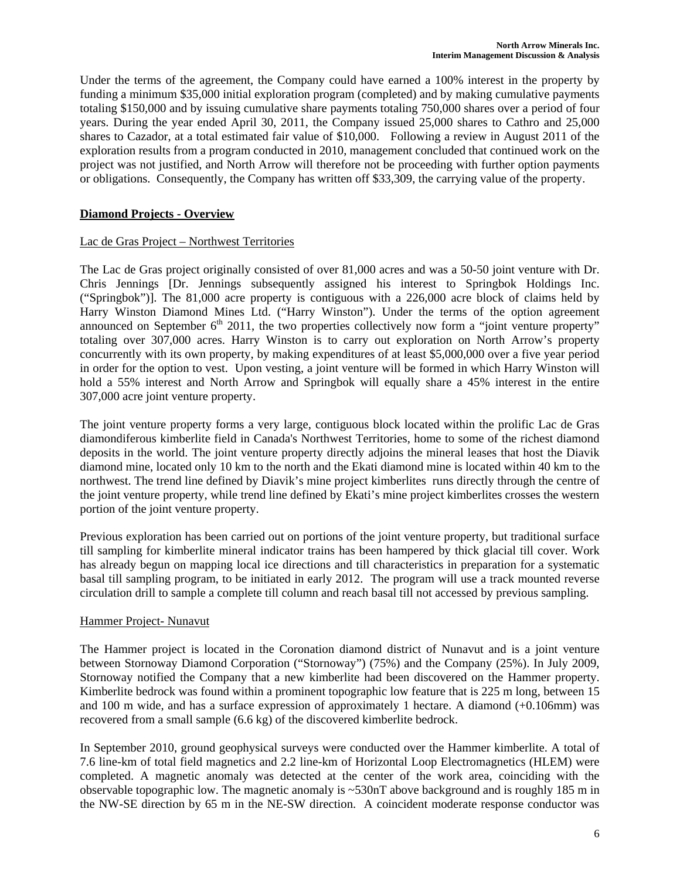Under the terms of the agreement, the Company could have earned a 100% interest in the property by funding a minimum \$35,000 initial exploration program (completed) and by making cumulative payments totaling \$150,000 and by issuing cumulative share payments totaling 750,000 shares over a period of four years. During the year ended April 30, 2011, the Company issued 25,000 shares to Cathro and 25,000 shares to Cazador, at a total estimated fair value of \$10,000. Following a review in August 2011 of the exploration results from a program conducted in 2010, management concluded that continued work on the project was not justified, and North Arrow will therefore not be proceeding with further option payments or obligations. Consequently, the Company has written off \$33,309, the carrying value of the property.

# **Diamond Projects - Overview**

# Lac de Gras Project – Northwest Territories

The Lac de Gras project originally consisted of over 81,000 acres and was a 50-50 joint venture with Dr. Chris Jennings [Dr. Jennings subsequently assigned his interest to Springbok Holdings Inc. ("Springbok")]. The 81,000 acre property is contiguous with a 226,000 acre block of claims held by Harry Winston Diamond Mines Ltd. ("Harry Winston"). Under the terms of the option agreement announced on September  $6<sup>th</sup>$  2011, the two properties collectively now form a "joint venture property" totaling over 307,000 acres. Harry Winston is to carry out exploration on North Arrow's property concurrently with its own property, by making expenditures of at least \$5,000,000 over a five year period in order for the option to vest. Upon vesting, a joint venture will be formed in which Harry Winston will hold a 55% interest and North Arrow and Springbok will equally share a 45% interest in the entire 307,000 acre joint venture property.

The joint venture property forms a very large, contiguous block located within the prolific Lac de Gras diamondiferous kimberlite field in Canada's Northwest Territories, home to some of the richest diamond deposits in the world. The joint venture property directly adjoins the mineral leases that host the Diavik diamond mine, located only 10 km to the north and the Ekati diamond mine is located within 40 km to the northwest. The trend line defined by Diavik's mine project kimberlites runs directly through the centre of the joint venture property, while trend line defined by Ekati's mine project kimberlites crosses the western portion of the joint venture property.

Previous exploration has been carried out on portions of the joint venture property, but traditional surface till sampling for kimberlite mineral indicator trains has been hampered by thick glacial till cover. Work has already begun on mapping local ice directions and till characteristics in preparation for a systematic basal till sampling program, to be initiated in early 2012. The program will use a track mounted reverse circulation drill to sample a complete till column and reach basal till not accessed by previous sampling.

### Hammer Project- Nunavut

The Hammer project is located in the Coronation diamond district of Nunavut and is a joint venture between Stornoway Diamond Corporation ("Stornoway") (75%) and the Company (25%). In July 2009, Stornoway notified the Company that a new kimberlite had been discovered on the Hammer property. Kimberlite bedrock was found within a prominent topographic low feature that is 225 m long, between 15 and 100 m wide, and has a surface expression of approximately 1 hectare. A diamond (+0.106mm) was recovered from a small sample (6.6 kg) of the discovered kimberlite bedrock.

In September 2010, ground geophysical surveys were conducted over the Hammer kimberlite. A total of 7.6 line-km of total field magnetics and 2.2 line-km of Horizontal Loop Electromagnetics (HLEM) were completed. A magnetic anomaly was detected at the center of the work area, coinciding with the observable topographic low. The magnetic anomaly is  $\sim$ 530nT above background and is roughly 185 m in the NW-SE direction by 65 m in the NE-SW direction. A coincident moderate response conductor was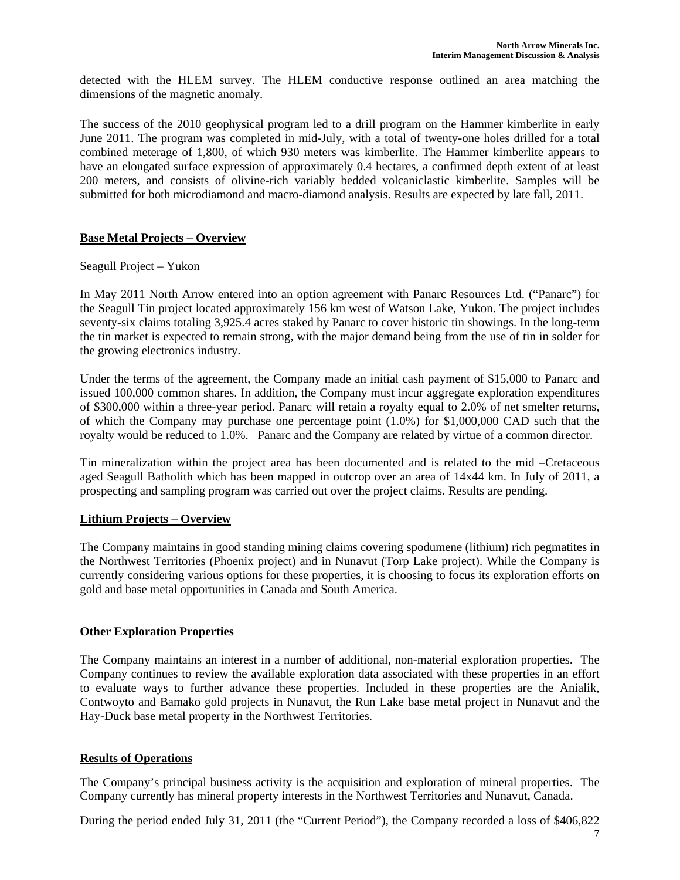detected with the HLEM survey. The HLEM conductive response outlined an area matching the dimensions of the magnetic anomaly.

The success of the 2010 geophysical program led to a drill program on the Hammer kimberlite in early June 2011. The program was completed in mid-July, with a total of twenty-one holes drilled for a total combined meterage of 1,800, of which 930 meters was kimberlite. The Hammer kimberlite appears to have an elongated surface expression of approximately 0.4 hectares, a confirmed depth extent of at least 200 meters, and consists of olivine-rich variably bedded volcaniclastic kimberlite. Samples will be submitted for both microdiamond and macro-diamond analysis. Results are expected by late fall, 2011.

## **Base Metal Projects – Overview**

#### Seagull Project – Yukon

In May 2011 North Arrow entered into an option agreement with Panarc Resources Ltd. ("Panarc") for the Seagull Tin project located approximately 156 km west of Watson Lake, Yukon. The project includes seventy-six claims totaling 3,925.4 acres staked by Panarc to cover historic tin showings. In the long-term the tin market is expected to remain strong, with the major demand being from the use of tin in solder for the growing electronics industry.

Under the terms of the agreement, the Company made an initial cash payment of \$15,000 to Panarc and issued 100,000 common shares. In addition, the Company must incur aggregate exploration expenditures of \$300,000 within a three-year period. Panarc will retain a royalty equal to 2.0% of net smelter returns, of which the Company may purchase one percentage point (1.0%) for \$1,000,000 CAD such that the royalty would be reduced to 1.0%. Panarc and the Company are related by virtue of a common director.

Tin mineralization within the project area has been documented and is related to the mid –Cretaceous aged Seagull Batholith which has been mapped in outcrop over an area of 14x44 km. In July of 2011, a prospecting and sampling program was carried out over the project claims. Results are pending.

# **Lithium Projects – Overview**

The Company maintains in good standing mining claims covering spodumene (lithium) rich pegmatites in the Northwest Territories (Phoenix project) and in Nunavut (Torp Lake project). While the Company is currently considering various options for these properties, it is choosing to focus its exploration efforts on gold and base metal opportunities in Canada and South America.

#### **Other Exploration Properties**

The Company maintains an interest in a number of additional, non-material exploration properties. The Company continues to review the available exploration data associated with these properties in an effort to evaluate ways to further advance these properties. Included in these properties are the Anialik, Contwoyto and Bamako gold projects in Nunavut, the Run Lake base metal project in Nunavut and the Hay-Duck base metal property in the Northwest Territories.

### **Results of Operations**

The Company's principal business activity is the acquisition and exploration of mineral properties. The Company currently has mineral property interests in the Northwest Territories and Nunavut, Canada.

During the period ended July 31, 2011 (the "Current Period"), the Company recorded a loss of \$406,822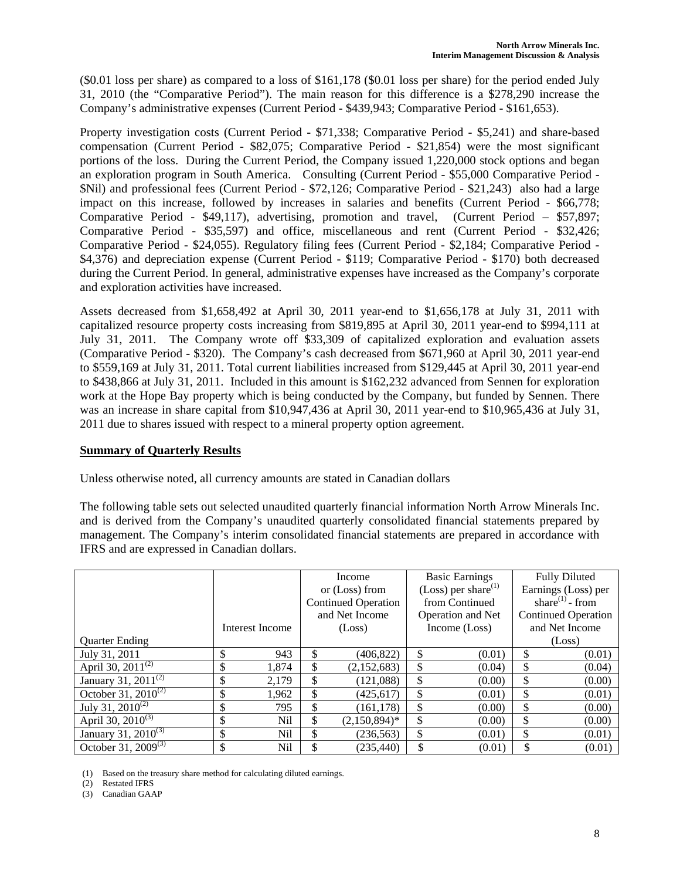(\$0.01 loss per share) as compared to a loss of \$161,178 (\$0.01 loss per share) for the period ended July 31, 2010 (the "Comparative Period"). The main reason for this difference is a \$278,290 increase the Company's administrative expenses (Current Period - \$439,943; Comparative Period - \$161,653).

Property investigation costs (Current Period - \$71,338; Comparative Period - \$5,241) and share-based compensation (Current Period - \$82,075; Comparative Period - \$21,854) were the most significant portions of the loss. During the Current Period, the Company issued 1,220,000 stock options and began an exploration program in South America. Consulting (Current Period - \$55,000 Comparative Period - \$Nil) and professional fees (Current Period - \$72,126; Comparative Period - \$21,243) also had a large impact on this increase, followed by increases in salaries and benefits (Current Period - \$66,778; Comparative Period - \$49,117), advertising, promotion and travel, (Current Period – \$57,897; Comparative Period - \$35,597) and office, miscellaneous and rent (Current Period - \$32,426; Comparative Period - \$24,055). Regulatory filing fees (Current Period - \$2,184; Comparative Period - \$4,376) and depreciation expense (Current Period - \$119; Comparative Period - \$170) both decreased during the Current Period. In general, administrative expenses have increased as the Company's corporate and exploration activities have increased.

Assets decreased from \$1,658,492 at April 30, 2011 year-end to \$1,656,178 at July 31, 2011 with capitalized resource property costs increasing from \$819,895 at April 30, 2011 year-end to \$994,111 at July 31, 2011. The Company wrote off \$33,309 of capitalized exploration and evaluation assets (Comparative Period - \$320). The Company's cash decreased from \$671,960 at April 30, 2011 year-end to \$559,169 at July 31, 2011. Total current liabilities increased from \$129,445 at April 30, 2011 year-end to \$438,866 at July 31, 2011. Included in this amount is \$162,232 advanced from Sennen for exploration work at the Hope Bay property which is being conducted by the Company, but funded by Sennen. There was an increase in share capital from \$10,947,436 at April 30, 2011 year-end to \$10,965,436 at July 31, 2011 due to shares issued with respect to a mineral property option agreement.

### **Summary of Quarterly Results**

Unless otherwise noted, all currency amounts are stated in Canadian dollars

The following table sets out selected unaudited quarterly financial information North Arrow Minerals Inc. and is derived from the Company's unaudited quarterly consolidated financial statements prepared by management. The Company's interim consolidated financial statements are prepared in accordance with IFRS and are expressed in Canadian dollars.

|                                 |                 | Income                     |                 | <b>Basic Earnings</b>     |        | <b>Fully Diluted</b>        |        |
|---------------------------------|-----------------|----------------------------|-----------------|---------------------------|--------|-----------------------------|--------|
|                                 |                 | or (Loss) from             |                 | (Loss) per share $^{(1)}$ |        | Earnings (Loss) per         |        |
|                                 |                 | <b>Continued Operation</b> |                 | from Continued            |        | share <sup>(1)</sup> - from |        |
|                                 |                 | and Net Income             |                 | Operation and Net         |        | <b>Continued Operation</b>  |        |
|                                 | Interest Income | (Loss)                     |                 | Income (Loss)             |        | and Net Income              |        |
| <b>Quarter Ending</b>           |                 |                            |                 |                           |        |                             | (Loss) |
| July 31, 2011                   | \$<br>943       | \$                         | (406, 822)      | \$                        | (0.01) | \$                          | (0.01) |
| April 30, $2011^{(2)}$          | \$<br>1.874     | \$                         | (2,152,683)     | \$                        | (0.04) | \$                          | (0.04) |
| January 31, 2011 $^{(2)}$       | \$<br>2,179     | \$                         | (121,088)       | \$                        | (0.00) | \$                          | (0.00) |
| October 31, $2010^{(2)}$        | \$<br>1,962     | \$                         | (425, 617)      | \$                        | (0.01) | \$                          | (0.01) |
| July 31, $2010^{(2)}$           | \$<br>795       | \$                         | (161, 178)      | \$                        | (0.00) | \$                          | (0.00) |
| April 30, $2010^{(3)}$          | \$<br>Nil       | ¢<br>J.                    | $(2,150,894)^*$ | \$                        | (0.00) | \$                          | (0.00) |
| January 31, 2010 <sup>(3)</sup> | \$<br>Nil       | \$                         | (236, 563)      | \$                        | (0.01) | \$                          | (0.01) |
| October 31, 2009 <sup>(3)</sup> | \$<br>Nil       |                            | (235, 440)      |                           | (0.01) | \$                          | (0.01) |

(1) Based on the treasury share method for calculating diluted earnings.

(2) Restated IFRS

(3) Canadian GAAP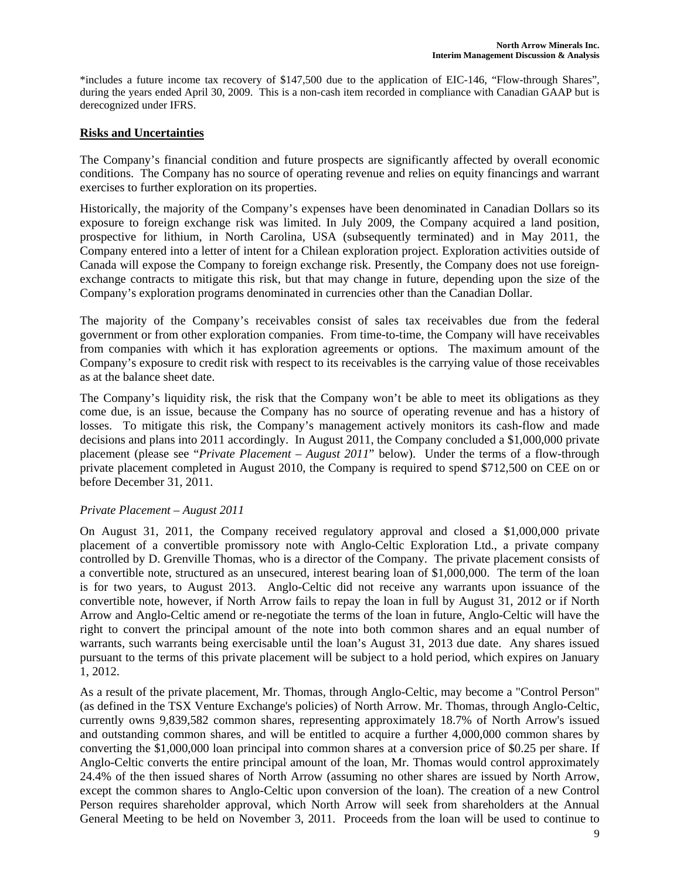\*includes a future income tax recovery of \$147,500 due to the application of EIC-146, "Flow-through Shares", during the years ended April 30, 2009. This is a non-cash item recorded in compliance with Canadian GAAP but is derecognized under IFRS.

## **Risks and Uncertainties**

The Company's financial condition and future prospects are significantly affected by overall economic conditions. The Company has no source of operating revenue and relies on equity financings and warrant exercises to further exploration on its properties.

Historically, the majority of the Company's expenses have been denominated in Canadian Dollars so its exposure to foreign exchange risk was limited. In July 2009, the Company acquired a land position, prospective for lithium, in North Carolina, USA (subsequently terminated) and in May 2011, the Company entered into a letter of intent for a Chilean exploration project. Exploration activities outside of Canada will expose the Company to foreign exchange risk. Presently, the Company does not use foreignexchange contracts to mitigate this risk, but that may change in future, depending upon the size of the Company's exploration programs denominated in currencies other than the Canadian Dollar.

The majority of the Company's receivables consist of sales tax receivables due from the federal government or from other exploration companies. From time-to-time, the Company will have receivables from companies with which it has exploration agreements or options. The maximum amount of the Company's exposure to credit risk with respect to its receivables is the carrying value of those receivables as at the balance sheet date.

The Company's liquidity risk, the risk that the Company won't be able to meet its obligations as they come due, is an issue, because the Company has no source of operating revenue and has a history of losses. To mitigate this risk, the Company's management actively monitors its cash-flow and made decisions and plans into 2011 accordingly. In August 2011, the Company concluded a \$1,000,000 private placement (please see "*Private Placement – August 2011*" below). Under the terms of a flow-through private placement completed in August 2010, the Company is required to spend \$712,500 on CEE on or before December 31, 2011.

### *Private Placement – August 2011*

On August 31, 2011, the Company received regulatory approval and closed a \$1,000,000 private placement of a convertible promissory note with Anglo-Celtic Exploration Ltd., a private company controlled by D. Grenville Thomas, who is a director of the Company. The private placement consists of a convertible note, structured as an unsecured, interest bearing loan of \$1,000,000. The term of the loan is for two years, to August 2013. Anglo-Celtic did not receive any warrants upon issuance of the convertible note, however, if North Arrow fails to repay the loan in full by August 31, 2012 or if North Arrow and Anglo-Celtic amend or re-negotiate the terms of the loan in future, Anglo-Celtic will have the right to convert the principal amount of the note into both common shares and an equal number of warrants, such warrants being exercisable until the loan's August 31, 2013 due date. Any shares issued pursuant to the terms of this private placement will be subject to a hold period, which expires on January 1, 2012.

As a result of the private placement, Mr. Thomas, through Anglo-Celtic, may become a "Control Person" (as defined in the TSX Venture Exchange's policies) of North Arrow. Mr. Thomas, through Anglo-Celtic, currently owns 9,839,582 common shares, representing approximately 18.7% of North Arrow's issued and outstanding common shares, and will be entitled to acquire a further 4,000,000 common shares by converting the \$1,000,000 loan principal into common shares at a conversion price of \$0.25 per share. If Anglo-Celtic converts the entire principal amount of the loan, Mr. Thomas would control approximately 24.4% of the then issued shares of North Arrow (assuming no other shares are issued by North Arrow, except the common shares to Anglo-Celtic upon conversion of the loan). The creation of a new Control Person requires shareholder approval, which North Arrow will seek from shareholders at the Annual General Meeting to be held on November 3, 2011. Proceeds from the loan will be used to continue to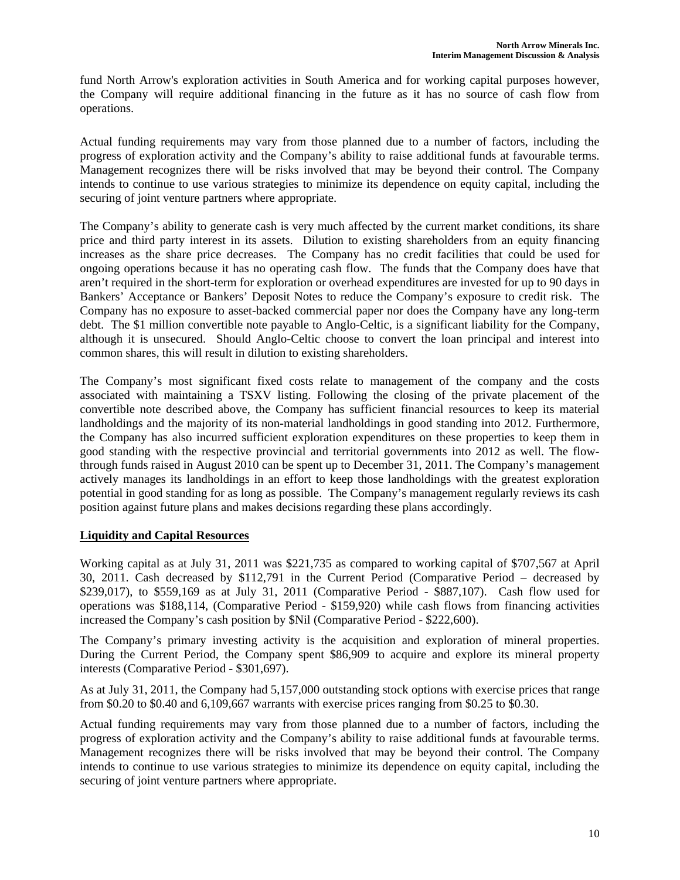fund North Arrow's exploration activities in South America and for working capital purposes however, the Company will require additional financing in the future as it has no source of cash flow from operations.

Actual funding requirements may vary from those planned due to a number of factors, including the progress of exploration activity and the Company's ability to raise additional funds at favourable terms. Management recognizes there will be risks involved that may be beyond their control. The Company intends to continue to use various strategies to minimize its dependence on equity capital, including the securing of joint venture partners where appropriate.

The Company's ability to generate cash is very much affected by the current market conditions, its share price and third party interest in its assets. Dilution to existing shareholders from an equity financing increases as the share price decreases. The Company has no credit facilities that could be used for ongoing operations because it has no operating cash flow. The funds that the Company does have that aren't required in the short-term for exploration or overhead expenditures are invested for up to 90 days in Bankers' Acceptance or Bankers' Deposit Notes to reduce the Company's exposure to credit risk. The Company has no exposure to asset-backed commercial paper nor does the Company have any long-term debt. The \$1 million convertible note payable to Anglo-Celtic, is a significant liability for the Company, although it is unsecured. Should Anglo-Celtic choose to convert the loan principal and interest into common shares, this will result in dilution to existing shareholders.

The Company's most significant fixed costs relate to management of the company and the costs associated with maintaining a TSXV listing. Following the closing of the private placement of the convertible note described above, the Company has sufficient financial resources to keep its material landholdings and the majority of its non-material landholdings in good standing into 2012. Furthermore, the Company has also incurred sufficient exploration expenditures on these properties to keep them in good standing with the respective provincial and territorial governments into 2012 as well. The flowthrough funds raised in August 2010 can be spent up to December 31, 2011. The Company's management actively manages its landholdings in an effort to keep those landholdings with the greatest exploration potential in good standing for as long as possible. The Company's management regularly reviews its cash position against future plans and makes decisions regarding these plans accordingly.

### **Liquidity and Capital Resources**

Working capital as at July 31, 2011 was \$221,735 as compared to working capital of \$707,567 at April 30, 2011. Cash decreased by \$112,791 in the Current Period (Comparative Period – decreased by \$239,017), to \$559,169 as at July 31, 2011 (Comparative Period - \$887,107). Cash flow used for operations was \$188,114, (Comparative Period - \$159,920) while cash flows from financing activities increased the Company's cash position by \$Nil (Comparative Period - \$222,600).

The Company's primary investing activity is the acquisition and exploration of mineral properties. During the Current Period, the Company spent \$86,909 to acquire and explore its mineral property interests (Comparative Period - \$301,697).

As at July 31, 2011, the Company had 5,157,000 outstanding stock options with exercise prices that range from \$0.20 to \$0.40 and 6,109,667 warrants with exercise prices ranging from \$0.25 to \$0.30.

Actual funding requirements may vary from those planned due to a number of factors, including the progress of exploration activity and the Company's ability to raise additional funds at favourable terms. Management recognizes there will be risks involved that may be beyond their control. The Company intends to continue to use various strategies to minimize its dependence on equity capital, including the securing of joint venture partners where appropriate.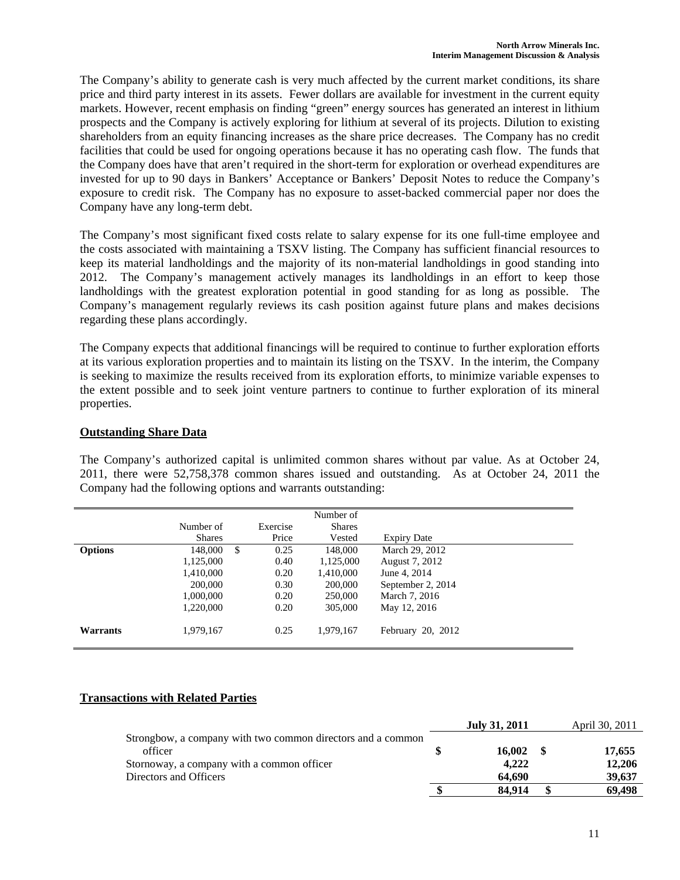The Company's ability to generate cash is very much affected by the current market conditions, its share price and third party interest in its assets. Fewer dollars are available for investment in the current equity markets. However, recent emphasis on finding "green" energy sources has generated an interest in lithium prospects and the Company is actively exploring for lithium at several of its projects. Dilution to existing shareholders from an equity financing increases as the share price decreases. The Company has no credit facilities that could be used for ongoing operations because it has no operating cash flow. The funds that the Company does have that aren't required in the short-term for exploration or overhead expenditures are invested for up to 90 days in Bankers' Acceptance or Bankers' Deposit Notes to reduce the Company's exposure to credit risk. The Company has no exposure to asset-backed commercial paper nor does the Company have any long-term debt.

The Company's most significant fixed costs relate to salary expense for its one full-time employee and the costs associated with maintaining a TSXV listing. The Company has sufficient financial resources to keep its material landholdings and the majority of its non-material landholdings in good standing into 2012. The Company's management actively manages its landholdings in an effort to keep those landholdings with the greatest exploration potential in good standing for as long as possible. The Company's management regularly reviews its cash position against future plans and makes decisions regarding these plans accordingly.

The Company expects that additional financings will be required to continue to further exploration efforts at its various exploration properties and to maintain its listing on the TSXV. In the interim, the Company is seeking to maximize the results received from its exploration efforts, to minimize variable expenses to the extent possible and to seek joint venture partners to continue to further exploration of its mineral properties.

## **Outstanding Share Data**

The Company's authorized capital is unlimited common shares without par value. As at October 24, 2011, there were 52,758,378 common shares issued and outstanding. As at October 24, 2011 the Company had the following options and warrants outstanding:

|                |               |            | Number of     |                    |  |
|----------------|---------------|------------|---------------|--------------------|--|
|                | Number of     | Exercise   | <b>Shares</b> |                    |  |
|                | <b>Shares</b> | Price      | Vested        | <b>Expiry Date</b> |  |
| <b>Options</b> | 148,000       | \$<br>0.25 | 148,000       | March 29, 2012     |  |
|                | 1,125,000     | 0.40       | 1,125,000     | August 7, 2012     |  |
|                | 1,410,000     | 0.20       | 1,410,000     | June 4, 2014       |  |
|                | 200,000       | 0.30       | 200,000       | September 2, 2014  |  |
|                | 1,000,000     | 0.20       | 250,000       | March 7, 2016      |  |
|                | 1,220,000     | 0.20       | 305,000       | May 12, 2016       |  |
| Warrants       | 1,979,167     | 0.25       | 1,979,167     | February 20, 2012  |  |

### **Transactions with Related Parties**

|                                                             | <b>July 31, 2011</b> | April 30, 2011 |
|-------------------------------------------------------------|----------------------|----------------|
| Strongbow, a company with two common directors and a common |                      |                |
| officer                                                     | 16.002               | 17,655         |
| Stornoway, a company with a common officer                  | 4.222                | 12,206         |
| Directors and Officers                                      | 64.690               | 39,637         |
|                                                             | 84.914               | 69.498         |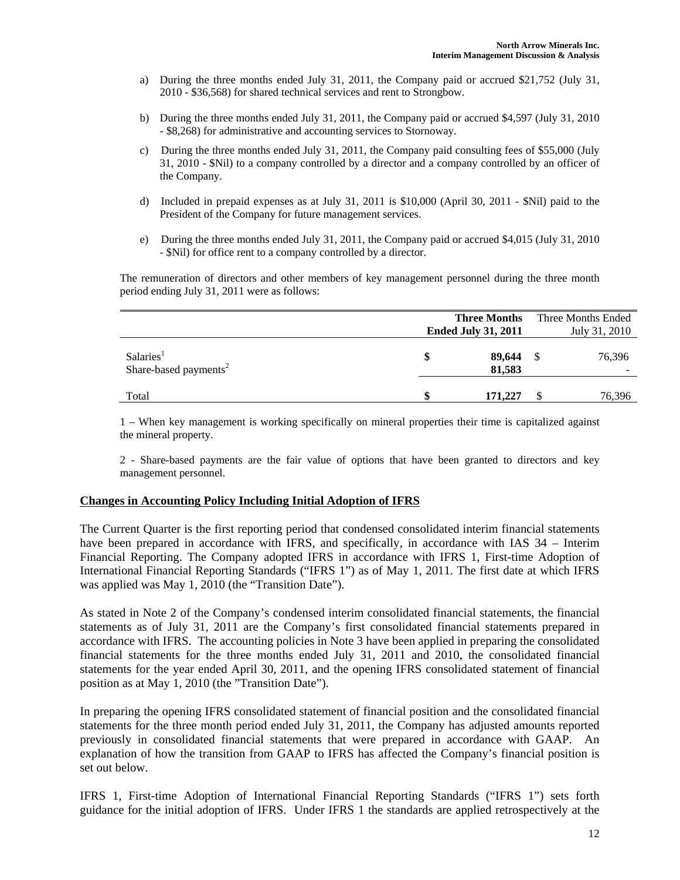- a) During the three months ended July 31, 2011, the Company paid or accrued \$21,752 (July 31, 2010 - \$36,568) for shared technical services and rent to Strongbow.
- b) During the three months ended July 31, 2011, the Company paid or accrued \$4,597 (July 31, 2010 - \$8,268) for administrative and accounting services to Stornoway.
- c) During the three months ended July 31, 2011, the Company paid consulting fees of \$55,000 (July 31, 2010 - \$Nil) to a company controlled by a director and a company controlled by an officer of the Company.
- d) Included in prepaid expenses as at July 31, 2011 is \$10,000 (April 30, 2011 \$Nil) paid to the President of the Company for future management services.
- e) During the three months ended July 31, 2011, the Company paid or accrued \$4,015 (July 31, 2010 - \$Nil) for office rent to a company controlled by a director.

 The remuneration of directors and other members of key management personnel during the three month period ending July 31, 2011 were as follows:

|                                                            | <b>Three Months</b><br><b>Ended July 31, 2011</b> | Three Months Ended<br>July 31, 2010 |        |  |
|------------------------------------------------------------|---------------------------------------------------|-------------------------------------|--------|--|
| Salaries <sup>1</sup><br>Share-based payments <sup>2</sup> | 89,644<br>81,583                                  |                                     | 76,396 |  |
| Total                                                      | \$<br>171,227                                     |                                     | 76,396 |  |

1 – When key management is working specifically on mineral properties their time is capitalized against the mineral property.

2 - Share-based payments are the fair value of options that have been granted to directors and key management personnel.

#### **Changes in Accounting Policy Including Initial Adoption of IFRS**

The Current Quarter is the first reporting period that condensed consolidated interim financial statements have been prepared in accordance with IFRS, and specifically, in accordance with IAS 34 – Interim Financial Reporting. The Company adopted IFRS in accordance with IFRS 1, First-time Adoption of International Financial Reporting Standards ("IFRS 1") as of May 1, 2011. The first date at which IFRS was applied was May 1, 2010 (the "Transition Date").

As stated in Note 2 of the Company's condensed interim consolidated financial statements, the financial statements as of July 31, 2011 are the Company's first consolidated financial statements prepared in accordance with IFRS. The accounting policies in Note 3 have been applied in preparing the consolidated financial statements for the three months ended July 31, 2011 and 2010, the consolidated financial statements for the year ended April 30, 2011, and the opening IFRS consolidated statement of financial position as at May 1, 2010 (the "Transition Date").

In preparing the opening IFRS consolidated statement of financial position and the consolidated financial statements for the three month period ended July 31, 2011, the Company has adjusted amounts reported previously in consolidated financial statements that were prepared in accordance with GAAP. An explanation of how the transition from GAAP to IFRS has affected the Company's financial position is set out below.

IFRS 1, First-time Adoption of International Financial Reporting Standards ("IFRS 1") sets forth guidance for the initial adoption of IFRS. Under IFRS 1 the standards are applied retrospectively at the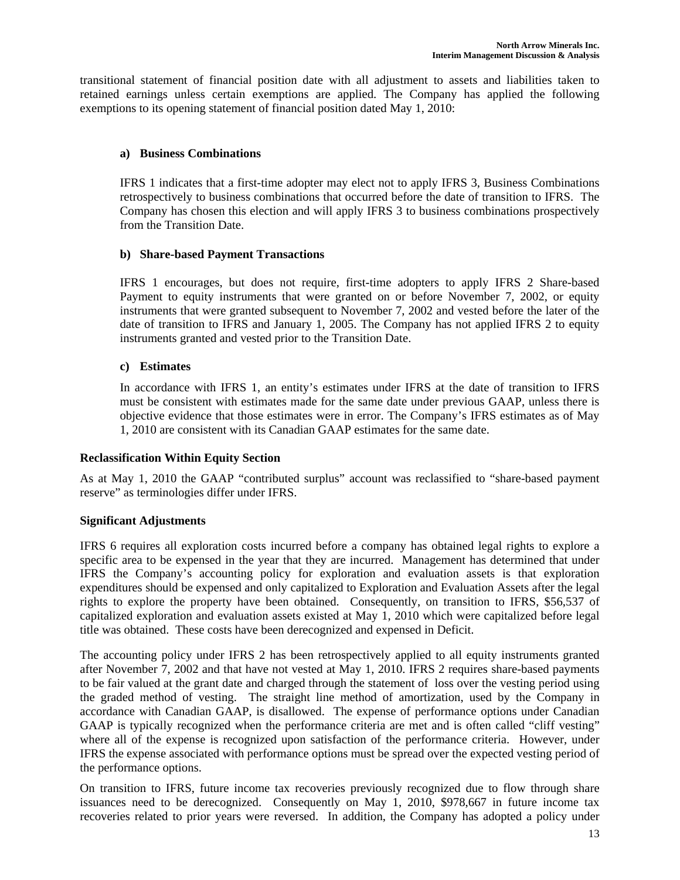transitional statement of financial position date with all adjustment to assets and liabilities taken to retained earnings unless certain exemptions are applied. The Company has applied the following exemptions to its opening statement of financial position dated May 1, 2010:

### **a) Business Combinations**

IFRS 1 indicates that a first-time adopter may elect not to apply IFRS 3, Business Combinations retrospectively to business combinations that occurred before the date of transition to IFRS. The Company has chosen this election and will apply IFRS 3 to business combinations prospectively from the Transition Date.

## **b) Share-based Payment Transactions**

IFRS 1 encourages, but does not require, first-time adopters to apply IFRS 2 Share-based Payment to equity instruments that were granted on or before November 7, 2002, or equity instruments that were granted subsequent to November 7, 2002 and vested before the later of the date of transition to IFRS and January 1, 2005. The Company has not applied IFRS 2 to equity instruments granted and vested prior to the Transition Date.

## **c) Estimates**

In accordance with IFRS 1, an entity's estimates under IFRS at the date of transition to IFRS must be consistent with estimates made for the same date under previous GAAP, unless there is objective evidence that those estimates were in error. The Company's IFRS estimates as of May 1, 2010 are consistent with its Canadian GAAP estimates for the same date.

### **Reclassification Within Equity Section**

As at May 1, 2010 the GAAP "contributed surplus" account was reclassified to "share-based payment reserve" as terminologies differ under IFRS.

### **Significant Adjustments**

IFRS 6 requires all exploration costs incurred before a company has obtained legal rights to explore a specific area to be expensed in the year that they are incurred. Management has determined that under IFRS the Company's accounting policy for exploration and evaluation assets is that exploration expenditures should be expensed and only capitalized to Exploration and Evaluation Assets after the legal rights to explore the property have been obtained. Consequently, on transition to IFRS, \$56,537 of capitalized exploration and evaluation assets existed at May 1, 2010 which were capitalized before legal title was obtained. These costs have been derecognized and expensed in Deficit.

The accounting policy under IFRS 2 has been retrospectively applied to all equity instruments granted after November 7, 2002 and that have not vested at May 1, 2010. IFRS 2 requires share-based payments to be fair valued at the grant date and charged through the statement of loss over the vesting period using the graded method of vesting. The straight line method of amortization, used by the Company in accordance with Canadian GAAP, is disallowed. The expense of performance options under Canadian GAAP is typically recognized when the performance criteria are met and is often called "cliff vesting" where all of the expense is recognized upon satisfaction of the performance criteria. However, under IFRS the expense associated with performance options must be spread over the expected vesting period of the performance options.

On transition to IFRS, future income tax recoveries previously recognized due to flow through share issuances need to be derecognized. Consequently on May 1, 2010, \$978,667 in future income tax recoveries related to prior years were reversed. In addition, the Company has adopted a policy under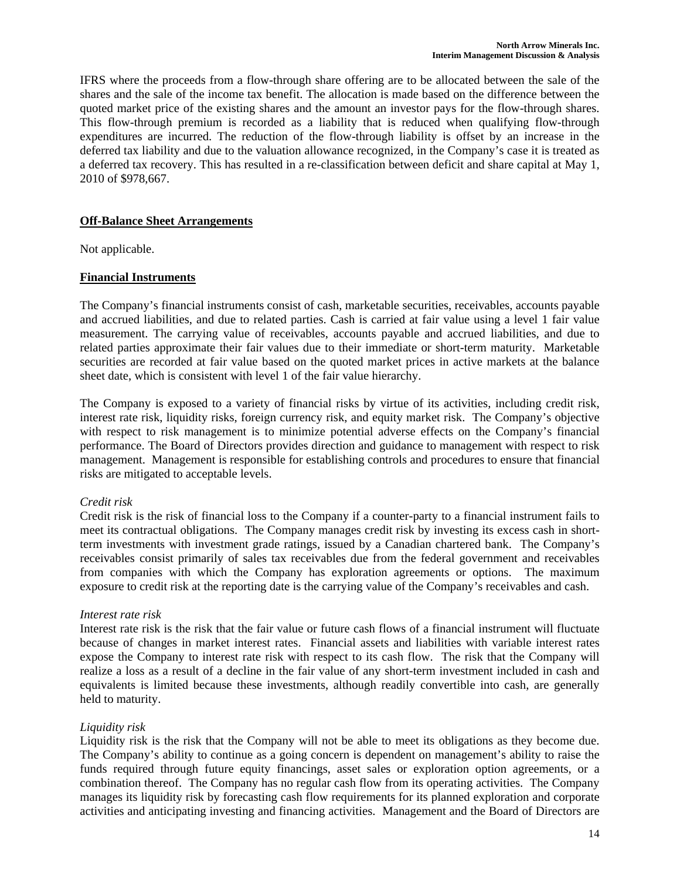IFRS where the proceeds from a flow-through share offering are to be allocated between the sale of the shares and the sale of the income tax benefit. The allocation is made based on the difference between the quoted market price of the existing shares and the amount an investor pays for the flow-through shares. This flow-through premium is recorded as a liability that is reduced when qualifying flow-through expenditures are incurred. The reduction of the flow-through liability is offset by an increase in the deferred tax liability and due to the valuation allowance recognized, in the Company's case it is treated as a deferred tax recovery. This has resulted in a re-classification between deficit and share capital at May 1, 2010 of \$978,667.

## **Off-Balance Sheet Arrangements**

Not applicable.

## **Financial Instruments**

The Company's financial instruments consist of cash, marketable securities, receivables, accounts payable and accrued liabilities, and due to related parties. Cash is carried at fair value using a level 1 fair value measurement. The carrying value of receivables, accounts payable and accrued liabilities, and due to related parties approximate their fair values due to their immediate or short-term maturity. Marketable securities are recorded at fair value based on the quoted market prices in active markets at the balance sheet date, which is consistent with level 1 of the fair value hierarchy.

The Company is exposed to a variety of financial risks by virtue of its activities, including credit risk, interest rate risk, liquidity risks, foreign currency risk, and equity market risk. The Company's objective with respect to risk management is to minimize potential adverse effects on the Company's financial performance. The Board of Directors provides direction and guidance to management with respect to risk management. Management is responsible for establishing controls and procedures to ensure that financial risks are mitigated to acceptable levels.

### *Credit risk*

Credit risk is the risk of financial loss to the Company if a counter-party to a financial instrument fails to meet its contractual obligations. The Company manages credit risk by investing its excess cash in shortterm investments with investment grade ratings, issued by a Canadian chartered bank. The Company's receivables consist primarily of sales tax receivables due from the federal government and receivables from companies with which the Company has exploration agreements or options. The maximum exposure to credit risk at the reporting date is the carrying value of the Company's receivables and cash.

### *Interest rate risk*

Interest rate risk is the risk that the fair value or future cash flows of a financial instrument will fluctuate because of changes in market interest rates. Financial assets and liabilities with variable interest rates expose the Company to interest rate risk with respect to its cash flow. The risk that the Company will realize a loss as a result of a decline in the fair value of any short-term investment included in cash and equivalents is limited because these investments, although readily convertible into cash, are generally held to maturity.

### *Liquidity risk*

Liquidity risk is the risk that the Company will not be able to meet its obligations as they become due. The Company's ability to continue as a going concern is dependent on management's ability to raise the funds required through future equity financings, asset sales or exploration option agreements, or a combination thereof. The Company has no regular cash flow from its operating activities. The Company manages its liquidity risk by forecasting cash flow requirements for its planned exploration and corporate activities and anticipating investing and financing activities. Management and the Board of Directors are